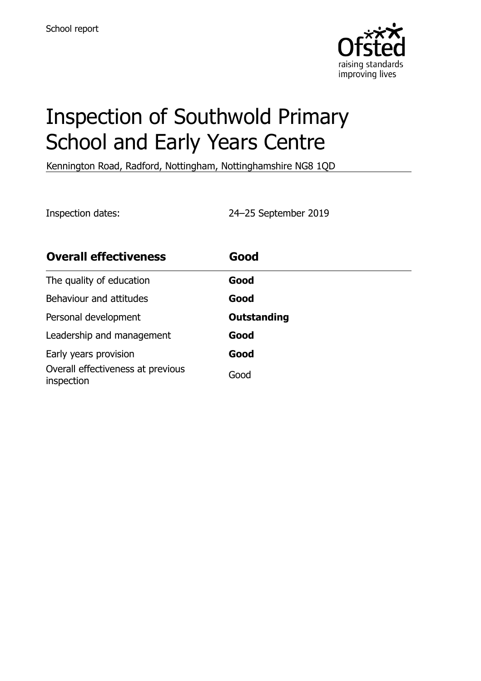

# Inspection of Southwold Primary School and Early Years Centre

Kennington Road, Radford, Nottingham, Nottinghamshire NG8 1QD

Inspection dates: 24–25 September 2019

| <b>Overall effectiveness</b>                    | Good               |
|-------------------------------------------------|--------------------|
| The quality of education                        | Good               |
| Behaviour and attitudes                         | Good               |
| Personal development                            | <b>Outstanding</b> |
| Leadership and management                       | Good               |
| Early years provision                           | Good               |
| Overall effectiveness at previous<br>inspection | Good               |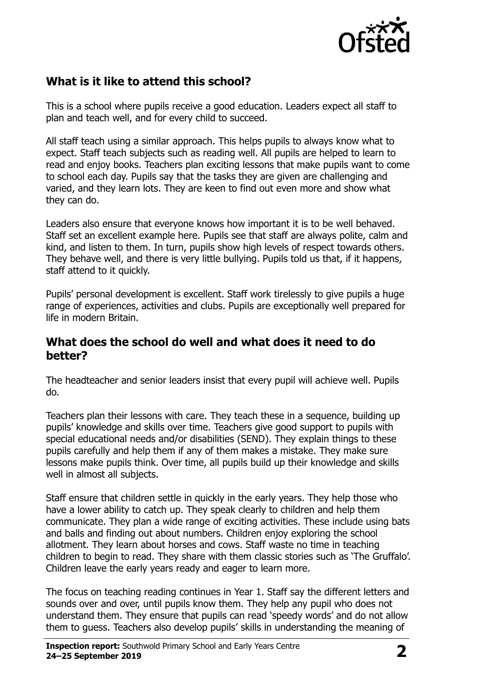

### **What is it like to attend this school?**

This is a school where pupils receive a good education. Leaders expect all staff to plan and teach well, and for every child to succeed.

All staff teach using a similar approach. This helps pupils to always know what to expect. Staff teach subjects such as reading well. All pupils are helped to learn to read and enjoy books. Teachers plan exciting lessons that make pupils want to come to school each day. Pupils say that the tasks they are given are challenging and varied, and they learn lots. They are keen to find out even more and show what they can do.

Leaders also ensure that everyone knows how important it is to be well behaved. Staff set an excellent example here. Pupils see that staff are always polite, calm and kind, and listen to them. In turn, pupils show high levels of respect towards others. They behave well, and there is very little bullying. Pupils told us that, if it happens, staff attend to it quickly.

Pupils' personal development is excellent. Staff work tirelessly to give pupils a huge range of experiences, activities and clubs. Pupils are exceptionally well prepared for life in modern Britain.

#### **What does the school do well and what does it need to do better?**

The headteacher and senior leaders insist that every pupil will achieve well. Pupils do.

Teachers plan their lessons with care. They teach these in a sequence, building up pupils' knowledge and skills over time. Teachers give good support to pupils with special educational needs and/or disabilities (SEND). They explain things to these pupils carefully and help them if any of them makes a mistake. They make sure lessons make pupils think. Over time, all pupils build up their knowledge and skills well in almost all subjects.

Staff ensure that children settle in quickly in the early years. They help those who have a lower ability to catch up. They speak clearly to children and help them communicate. They plan a wide range of exciting activities. These include using bats and balls and finding out about numbers. Children enjoy exploring the school allotment. They learn about horses and cows. Staff waste no time in teaching children to begin to read. They share with them classic stories such as 'The Gruffalo'. Children leave the early years ready and eager to learn more.

The focus on teaching reading continues in Year 1. Staff say the different letters and sounds over and over, until pupils know them. They help any pupil who does not understand them. They ensure that pupils can read 'speedy words' and do not allow them to guess. Teachers also develop pupils' skills in understanding the meaning of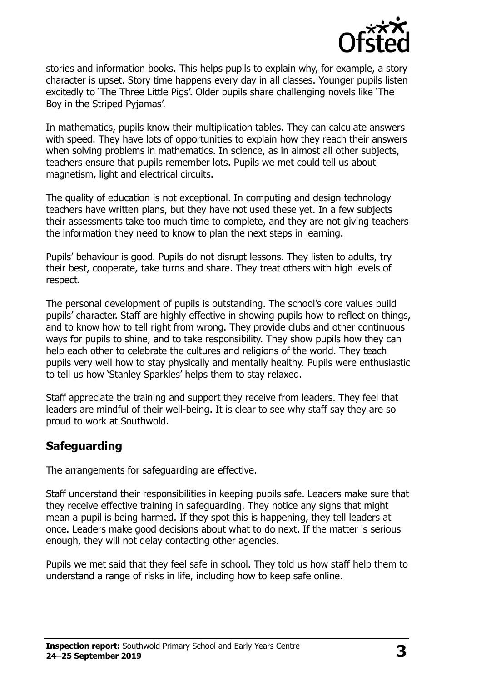

stories and information books. This helps pupils to explain why, for example, a story character is upset. Story time happens every day in all classes. Younger pupils listen excitedly to 'The Three Little Pigs'. Older pupils share challenging novels like 'The Boy in the Striped Pyjamas'.

In mathematics, pupils know their multiplication tables. They can calculate answers with speed. They have lots of opportunities to explain how they reach their answers when solving problems in mathematics. In science, as in almost all other subjects, teachers ensure that pupils remember lots. Pupils we met could tell us about magnetism, light and electrical circuits.

The quality of education is not exceptional. In computing and design technology teachers have written plans, but they have not used these yet. In a few subjects their assessments take too much time to complete, and they are not giving teachers the information they need to know to plan the next steps in learning.

Pupils' behaviour is good. Pupils do not disrupt lessons. They listen to adults, try their best, cooperate, take turns and share. They treat others with high levels of respect.

The personal development of pupils is outstanding. The school's core values build pupils' character. Staff are highly effective in showing pupils how to reflect on things, and to know how to tell right from wrong. They provide clubs and other continuous ways for pupils to shine, and to take responsibility. They show pupils how they can help each other to celebrate the cultures and religions of the world. They teach pupils very well how to stay physically and mentally healthy. Pupils were enthusiastic to tell us how 'Stanley Sparkles' helps them to stay relaxed.

Staff appreciate the training and support they receive from leaders. They feel that leaders are mindful of their well-being. It is clear to see why staff say they are so proud to work at Southwold.

#### **Safeguarding**

The arrangements for safeguarding are effective.

Staff understand their responsibilities in keeping pupils safe. Leaders make sure that they receive effective training in safeguarding. They notice any signs that might mean a pupil is being harmed. If they spot this is happening, they tell leaders at once. Leaders make good decisions about what to do next. If the matter is serious enough, they will not delay contacting other agencies.

Pupils we met said that they feel safe in school. They told us how staff help them to understand a range of risks in life, including how to keep safe online.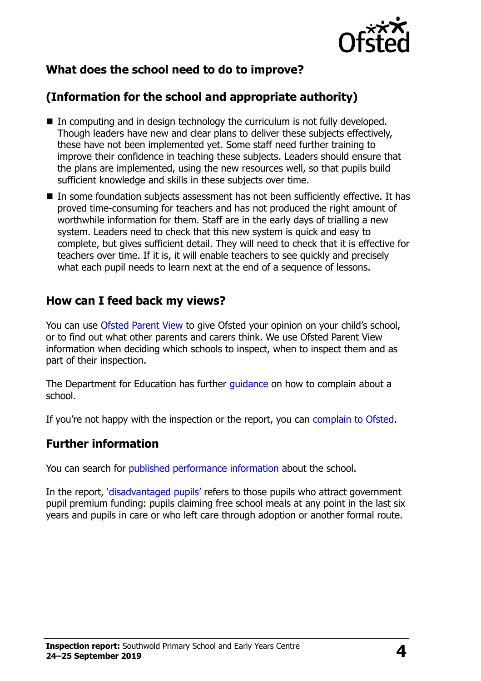

## **What does the school need to do to improve?**

# **(Information for the school and appropriate authority)**

- In computing and in design technology the curriculum is not fully developed. Though leaders have new and clear plans to deliver these subjects effectively, these have not been implemented yet. Some staff need further training to improve their confidence in teaching these subjects. Leaders should ensure that the plans are implemented, using the new resources well, so that pupils build sufficient knowledge and skills in these subjects over time.
- In some foundation subjects assessment has not been sufficiently effective. It has proved time-consuming for teachers and has not produced the right amount of worthwhile information for them. Staff are in the early days of trialling a new system. Leaders need to check that this new system is quick and easy to complete, but gives sufficient detail. They will need to check that it is effective for teachers over time. If it is, it will enable teachers to see quickly and precisely what each pupil needs to learn next at the end of a sequence of lessons.

#### **How can I feed back my views?**

You can use [Ofsted Parent View](http://parentview.ofsted.gov.uk/) to give Ofsted your opinion on your child's school, or to find out what other parents and carers think. We use Ofsted Parent View information when deciding which schools to inspect, when to inspect them and as part of their inspection.

The Department for Education has further quidance on how to complain about a school.

If you're not happy with the inspection or the report, you can [complain to Ofsted.](http://www.gov.uk/complain-ofsted-report)

#### **Further information**

You can search for [published performance information](http://www.compare-school-performance.service.gov.uk/) about the school.

In the report, '[disadvantaged pupils](http://www.gov.uk/guidance/pupil-premium-information-for-schools-and-alternative-provision-settings)' refers to those pupils who attract government pupil premium funding: pupils claiming free school meals at any point in the last six years and pupils in care or who left care through adoption or another formal route.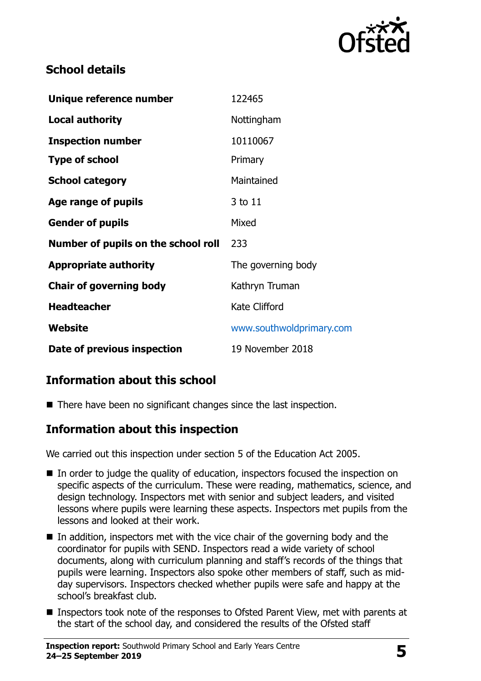

#### **School details**

| Unique reference number             | 122465                   |
|-------------------------------------|--------------------------|
| <b>Local authority</b>              | Nottingham               |
| <b>Inspection number</b>            | 10110067                 |
| <b>Type of school</b>               | Primary                  |
| <b>School category</b>              | Maintained               |
| Age range of pupils                 | 3 to 11                  |
| <b>Gender of pupils</b>             | Mixed                    |
| Number of pupils on the school roll | 233                      |
| <b>Appropriate authority</b>        | The governing body       |
| <b>Chair of governing body</b>      | Kathryn Truman           |
| <b>Headteacher</b>                  | <b>Kate Clifford</b>     |
| Website                             | www.southwoldprimary.com |
| Date of previous inspection         | 19 November 2018         |

### **Information about this school**

■ There have been no significant changes since the last inspection.

#### **Information about this inspection**

We carried out this inspection under section 5 of the Education Act 2005.

- In order to judge the quality of education, inspectors focused the inspection on specific aspects of the curriculum. These were reading, mathematics, science, and design technology. Inspectors met with senior and subject leaders, and visited lessons where pupils were learning these aspects. Inspectors met pupils from the lessons and looked at their work.
- $\blacksquare$  In addition, inspectors met with the vice chair of the governing body and the coordinator for pupils with SEND. Inspectors read a wide variety of school documents, along with curriculum planning and staff's records of the things that pupils were learning. Inspectors also spoke other members of staff, such as midday supervisors. Inspectors checked whether pupils were safe and happy at the school's breakfast club.
- Inspectors took note of the responses to Ofsted Parent View, met with parents at the start of the school day, and considered the results of the Ofsted staff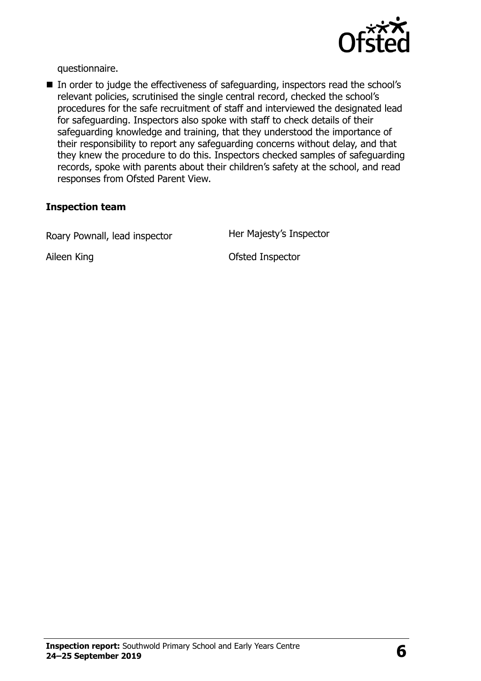

questionnaire.

■ In order to judge the effectiveness of safeguarding, inspectors read the school's relevant policies, scrutinised the single central record, checked the school's procedures for the safe recruitment of staff and interviewed the designated lead for safeguarding. Inspectors also spoke with staff to check details of their safeguarding knowledge and training, that they understood the importance of their responsibility to report any safeguarding concerns without delay, and that they knew the procedure to do this. Inspectors checked samples of safeguarding records, spoke with parents about their children's safety at the school, and read responses from Ofsted Parent View.

#### **Inspection team**

Roary Pownall, lead inspector **Her Majesty's Inspector** 

Aileen King **Constanting Constanting Constanting Constanting Constanting Constanting Constanting Constanting Constanting Constanting Constanting Constanting Constanting Constanting Constanting Constanting Constanting Const**